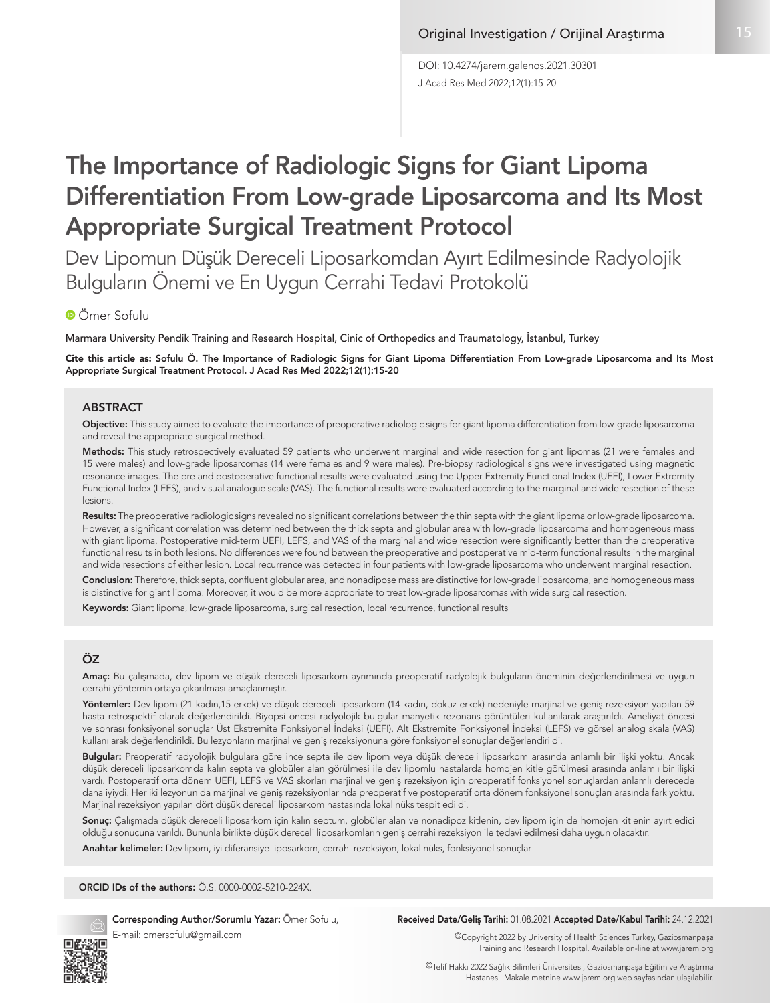J Acad Res Med 2022;12(1):15-20 DOI: 10.4274/jarem.galenos.2021.30301

# The Importance of Radiologic Signs for Giant Lipoma Differentiation From Low-grade Liposarcoma and Its Most Appropriate Surgical Treatment Protocol

Dev Lipomun Düşük Dereceli Liposarkomdan Ayırt Edilmesinde Radyolojik Bulguların Önemi ve En Uygun Cerrahi Tedavi Protokolü

## Ömer Sofulu

Marmara University Pendik Training and Research Hospital, Cinic of Orthopedics and Traumatology, İstanbul, Turkey

Cite this article as: Sofulu Ö. The Importance of Radiologic Signs for Giant Lipoma Differentiation From Low-grade Liposarcoma and Its Most Appropriate Surgical Treatment Protocol. J Acad Res Med 2022;12(1):15-20

#### **ABSTRACT**

Objective: This study aimed to evaluate the importance of preoperative radiologic signs for giant lipoma differentiation from low-grade liposarcoma and reveal the appropriate surgical method.

Methods: This study retrospectively evaluated 59 patients who underwent marginal and wide resection for giant lipomas (21 were females and 15 were males) and low-grade liposarcomas (14 were females and 9 were males). Pre-biopsy radiological signs were investigated using magnetic resonance images. The pre and postoperative functional results were evaluated using the Upper Extremity Functional Index (UEFI), Lower Extremity Functional Index (LEFS), and visual analogue scale (VAS). The functional results were evaluated according to the marginal and wide resection of these lesions.

Results: The preoperative radiologic signs revealed no significant correlations between the thin septa with the giant lipoma or low-grade liposarcoma. However, a significant correlation was determined between the thick septa and globular area with low-grade liposarcoma and homogeneous mass with giant lipoma. Postoperative mid-term UEFI, LEFS, and VAS of the marginal and wide resection were significantly better than the preoperative functional results in both lesions. No differences were found between the preoperative and postoperative mid-term functional results in the marginal and wide resections of either lesion. Local recurrence was detected in four patients with low-grade liposarcoma who underwent marginal resection.

Conclusion: Therefore, thick septa, confluent globular area, and nonadipose mass are distinctive for low-grade liposarcoma, and homogeneous mass is distinctive for giant lipoma. Moreover, it would be more appropriate to treat low-grade liposarcomas with wide surgical resection.

Keywords: Giant lipoma, low-grade liposarcoma, surgical resection, local recurrence, functional results

# ÖZ

Amaç: Bu çalışmada, dev lipom ve düşük dereceli liposarkom ayrımında preoperatif radyolojik bulguların öneminin değerlendirilmesi ve uygun cerrahi yöntemin ortaya çıkarılması amaçlanmıştır.

Yöntemler: Dev lipom (21 kadın,15 erkek) ve düşük dereceli liposarkom (14 kadın, dokuz erkek) nedeniyle marjinal ve geniş rezeksiyon yapılan 59 hasta retrospektif olarak değerlendirildi. Biyopsi öncesi radyolojik bulgular manyetik rezonans görüntüleri kullanılarak araştırıldı. Ameliyat öncesi ve sonrası fonksiyonel sonuçlar Üst Ekstremite Fonksiyonel İndeksi (UEFI), Alt Ekstremite Fonksiyonel İndeksi (LEFS) ve görsel analog skala (VAS) kullanılarak değerlendirildi. Bu lezyonların marjinal ve geniş rezeksiyonuna göre fonksiyonel sonuçlar değerlendirildi.

Bulgular: Preoperatif radyolojik bulgulara göre ince septa ile dev lipom veya düşük dereceli liposarkom arasında anlamlı bir ilişki yoktu. Ancak düşük dereceli liposarkomda kalın septa ve globüler alan görülmesi ile dev lipomlu hastalarda homojen kitle görülmesi arasında anlamlı bir ilişki vardı. Postoperatif orta dönem UEFI, LEFS ve VAS skorları marjinal ve geniş rezeksiyon için preoperatif fonksiyonel sonuçlardan anlamlı derecede daha iyiydi. Her iki lezyonun da marjinal ve geniş rezeksiyonlarında preoperatif ve postoperatif orta dönem fonksiyonel sonuçları arasında fark yoktu. Marjinal rezeksiyon yapılan dört düşük dereceli liposarkom hastasında lokal nüks tespit edildi.

Sonuç: Çalışmada düşük dereceli liposarkom için kalın septum, globüler alan ve nonadipoz kitlenin, dev lipom için de homojen kitlenin ayırt edici olduğu sonucuna varıldı. Bununla birlikte düşük dereceli liposarkomların geniş cerrahi rezeksiyon ile tedavi edilmesi daha uygun olacaktır. Anahtar kelimeler: Dev lipom, iyi diferansiye liposarkom, cerrahi rezeksiyon, lokal nüks, fonksiyonel sonuçlar

ORCID IDs of the authors: Ö.S. 0000-0002-5210-224X.



E-mail: omersofulu@gmail.com

Corresponding Author/Sorumlu Yazar: Ömer Sofulu, Received Date/Geliş Tarihi: 01.08.2021 Accepted Date/Kabul Tarihi: 24.12.2021

©Copyright 2022 by University of Health Sciences Turkey, Gaziosmanpaşa Training and Research Hospital. Available on-line at www.jarem.org

©Telif Hakkı 2022 Sağlık Bilimleri Üniversitesi, Gaziosmanpaşa Eğitim ve Araştırma Hastanesi. Makale metnine www.jarem.org web sayfasından ulaşılabilir.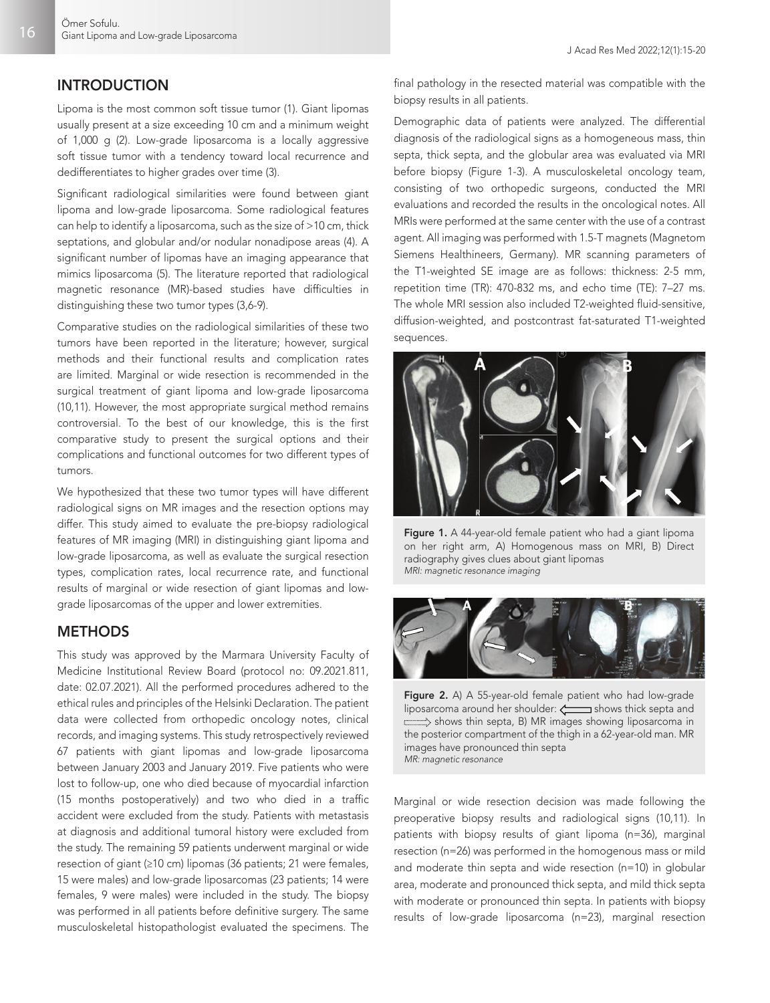# INTRODUCTION

Lipoma is the most common soft tissue tumor (1). Giant lipomas usually present at a size exceeding 10 cm and a minimum weight of 1,000 g (2). Low-grade liposarcoma is a locally aggressive soft tissue tumor with a tendency toward local recurrence and dedifferentiates to higher grades over time (3).

Significant radiological similarities were found between giant lipoma and low-grade liposarcoma. Some radiological features can help to identify a liposarcoma, such as the size of >10 cm, thick septations, and globular and/or nodular nonadipose areas (4). A significant number of lipomas have an imaging appearance that mimics liposarcoma (5). The literature reported that radiological magnetic resonance (MR)-based studies have difficulties in distinguishing these two tumor types (3,6-9).

Comparative studies on the radiological similarities of these two tumors have been reported in the literature; however, surgical methods and their functional results and complication rates are limited. Marginal or wide resection is recommended in the surgical treatment of giant lipoma and low-grade liposarcoma (10,11). However, the most appropriate surgical method remains controversial. To the best of our knowledge, this is the first comparative study to present the surgical options and their complications and functional outcomes for two different types of tumors.

We hypothesized that these two tumor types will have different radiological signs on MR images and the resection options may differ. This study aimed to evaluate the pre-biopsy radiological features of MR imaging (MRI) in distinguishing giant lipoma and low-grade liposarcoma, as well as evaluate the surgical resection types, complication rates, local recurrence rate, and functional results of marginal or wide resection of giant lipomas and lowgrade liposarcomas of the upper and lower extremities.

# **METHODS**

This study was approved by the Marmara University Faculty of Medicine Institutional Review Board (protocol no: 09.2021.811, date: 02.07.2021). All the performed procedures adhered to the ethical rules and principles of the Helsinki Declaration. The patient data were collected from orthopedic oncology notes, clinical records, and imaging systems. This study retrospectively reviewed 67 patients with giant lipomas and low-grade liposarcoma between January 2003 and January 2019. Five patients who were lost to follow-up, one who died because of myocardial infarction (15 months postoperatively) and two who died in a traffic accident were excluded from the study. Patients with metastasis at diagnosis and additional tumoral history were excluded from the study. The remaining 59 patients underwent marginal or wide resection of giant (≥10 cm) lipomas (36 patients; 21 were females, 15 were males) and low-grade liposarcomas (23 patients; 14 were females, 9 were males) were included in the study. The biopsy was performed in all patients before definitive surgery. The same musculoskeletal histopathologist evaluated the specimens. The

final pathology in the resected material was compatible with the biopsy results in all patients.

Demographic data of patients were analyzed. The differential diagnosis of the radiological signs as a homogeneous mass, thin septa, thick septa, and the globular area was evaluated via MRI before biopsy (Figure 1-3). A musculoskeletal oncology team, consisting of two orthopedic surgeons, conducted the MRI evaluations and recorded the results in the oncological notes. All MRIs were performed at the same center with the use of a contrast agent. All imaging was performed with 1.5-T magnets (Magnetom Siemens Healthineers, Germany). MR scanning parameters of the T1-weighted SE image are as follows: thickness: 2-5 mm, repetition time (TR): 470-832 ms, and echo time (TE): 7–27 ms. The whole MRI session also included T2-weighted fluid-sensitive, diffusion-weighted, and postcontrast fat-saturated T1-weighted sequences.



Figure 1. A 44-year-old female patient who had a giant lipoma on her right arm, A) Homogenous mass on MRI, B) Direct radiography gives clues about giant lipomas *MRI: magnetic resonance imaging*



Figure 2. A) A 55-year-old female patient who had low-grade liposarcoma around her shoulder: <a>shows thick septa and</a> shows thin septa, B) MR images showing liposarcoma in the posterior compartment of the thigh in a 62-year-old man. MR images have pronounced thin septa *MR: magnetic resonance*

Marginal or wide resection decision was made following the preoperative biopsy results and radiological signs (10,11). In patients with biopsy results of giant lipoma (n=36), marginal resection (n=26) was performed in the homogenous mass or mild and moderate thin septa and wide resection (n=10) in globular area, moderate and pronounced thick septa, and mild thick septa with moderate or pronounced thin septa. In patients with biopsy results of low-grade liposarcoma (n=23), marginal resection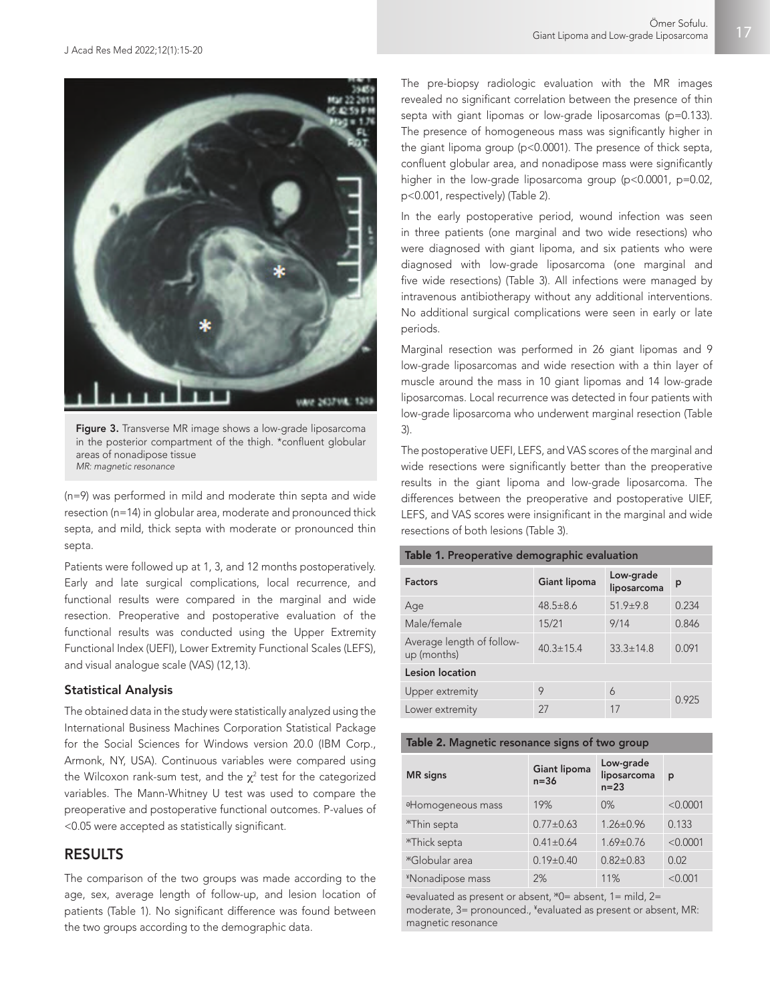

Figure 3. Transverse MR image shows a low-grade liposarcoma in the posterior compartment of the thigh. \*confluent globular areas of nonadipose tissue *MR: magnetic resonance*

(n=9) was performed in mild and moderate thin septa and wide resection (n=14) in globular area, moderate and pronounced thick septa, and mild, thick septa with moderate or pronounced thin septa.

Patients were followed up at 1, 3, and 12 months postoperatively. Early and late surgical complications, local recurrence, and functional results were compared in the marginal and wide resection. Preoperative and postoperative evaluation of the functional results was conducted using the Upper Extremity Functional Index (UEFI), Lower Extremity Functional Scales (LEFS), and visual analogue scale (VAS) (12,13).

#### Statistical Analysis

The obtained data in the study were statistically analyzed using the International Business Machines Corporation Statistical Package for the Social Sciences for Windows version 20.0 (IBM Corp., Armonk, NY, USA). Continuous variables were compared using the Wilcoxon rank-sum test, and the  $\chi^2$  test for the categorized variables. The Mann-Whitney U test was used to compare the preoperative and postoperative functional outcomes. P-values of <0.05 were accepted as statistically significant.

# RESULTS

The comparison of the two groups was made according to the age, sex, average length of follow-up, and lesion location of patients (Table 1). No significant difference was found between the two groups according to the demographic data.

The pre-biopsy radiologic evaluation with the MR images revealed no significant correlation between the presence of thin septa with giant lipomas or low-grade liposarcomas (p=0.133). The presence of homogeneous mass was significantly higher in the giant lipoma group (p<0.0001). The presence of thick septa, confluent globular area, and nonadipose mass were significantly higher in the low-grade liposarcoma group (p<0.0001, p=0.02, p<0.001, respectively) (Table 2).

In the early postoperative period, wound infection was seen in three patients (one marginal and two wide resections) who were diagnosed with giant lipoma, and six patients who were diagnosed with low-grade liposarcoma (one marginal and five wide resections) (Table 3). All infections were managed by intravenous antibiotherapy without any additional interventions. No additional surgical complications were seen in early or late periods.

Marginal resection was performed in 26 giant lipomas and 9 low-grade liposarcomas and wide resection with a thin layer of muscle around the mass in 10 giant lipomas and 14 low-grade liposarcomas. Local recurrence was detected in four patients with low-grade liposarcoma who underwent marginal resection (Table 3).

The postoperative UEFI, LEFS, and VAS scores of the marginal and wide resections were significantly better than the preoperative results in the giant lipoma and low-grade liposarcoma. The differences between the preoperative and postoperative UIEF, LEFS, and VAS scores were insignificant in the marginal and wide resections of both lesions (Table 3).

#### Table 1. Preoperative demographic evaluation

| <b>Factors</b>                           | Giant lipoma    | Low-grade<br>liposarcoma | р     |  |
|------------------------------------------|-----------------|--------------------------|-------|--|
| Age                                      | $48.5 \pm 8.6$  | $51.9 + 9.8$             | 0.234 |  |
| Male/female                              | 15/21           | 9/14                     | 0.846 |  |
| Average length of follow-<br>up (months) | $40.3 \pm 15.4$ | $33.3 \pm 14.8$          | 0.091 |  |
| Lesion location                          |                 |                          |       |  |
| Upper extremity                          | 9               | $\overline{6}$           | 0.925 |  |
| Lower extremity                          | 27              | 17                       |       |  |

#### Table 2. Magnetic resonance signs of two group

| <b>MR</b> signs                   | Giant lipoma<br>$n = 36$ | Low-grade<br>liposarcoma<br>$n=23$ | p        |
|-----------------------------------|--------------------------|------------------------------------|----------|
| <sup>a</sup> Homogeneous mass     | 19%                      | $0\%$                              | < 0.0001 |
| <b><i><u>*Thin</u></i></b> septa  | $0.77 \pm 0.63$          | $1.26 \pm 0.96$                    | 0.133    |
| <b><i><u>*Thick</u></i></b> septa | $0.41 \pm 0.64$          | $1.69 \pm 0.76$                    | < 0.0001 |
| <b><i>*Globular area</i></b>      | $0.19 \pm 0.40$          | $0.82 \pm 0.83$                    | 0.02     |
| *Nonadipose mass                  | 2%                       | 11%                                | < 0.001  |

 $e$ evaluated as present or absent,  $*0=$  absent, 1= mild, 2= moderate, 3= pronounced., ¥ evaluated as present or absent, MR: magnetic resonance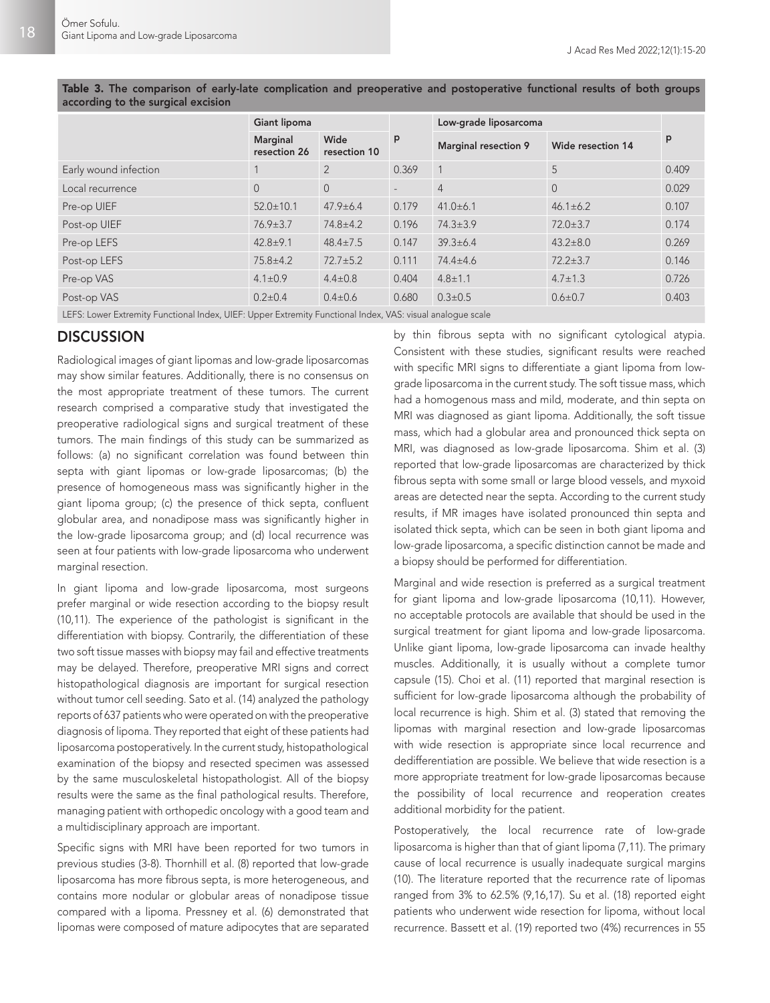Table 3. The comparison of early-late complication and preoperative and postoperative functional results of both groups according to the surgical excision

|                       | Giant lipoma             |                      |                          | Low-grade liposarcoma       |                   |       |  |  |
|-----------------------|--------------------------|----------------------|--------------------------|-----------------------------|-------------------|-------|--|--|
|                       | Marginal<br>resection 26 | Wide<br>resection 10 | p                        | <b>Marginal resection 9</b> | Wide resection 14 | p     |  |  |
| Early wound infection |                          | $\overline{2}$       | 0.369                    |                             | 5                 | 0.409 |  |  |
| Local recurrence      | $\Omega$                 | $\Omega$             | $\overline{\phantom{a}}$ | $\overline{4}$              | $\Omega$          | 0.029 |  |  |
| Pre-op UIEF           | $52.0 \pm 10.1$          | $47.9 \pm 6.4$       | 0.179                    | $41.0 \pm 6.1$              | $46.1 \pm 6.2$    | 0.107 |  |  |
| Post-op UIEF          | $76.9 \pm 3.7$           | 74.8±4.2             | 0.196                    | $74.3 \pm 3.9$              | $72.0 \pm 3.7$    | 0.174 |  |  |
| Pre-op LEFS           | $42.8 \pm 9.1$           | $48.4 \pm 7.5$       | 0.147                    | $39.3 \pm 6.4$              | $43.2 \pm 8.0$    | 0.269 |  |  |
| Post-op LEFS          | $75.8 \pm 4.2$           | $72.7 \pm 5.2$       | 0.111                    | $74.4 \pm 4.6$              | $72.2 \pm 3.7$    | 0.146 |  |  |
| Pre-op VAS            | $4.1 \pm 0.9$            | $4.4 \pm 0.8$        | 0.404                    | $4.8 \pm 1.1$               | $4.7 \pm 1.3$     | 0.726 |  |  |
| Post-op VAS           | $0.2 \pm 0.4$            | $0.4 \pm 0.6$        | 0.680                    | $0.3 \pm 0.5$               | $0.6 \pm 0.7$     | 0.403 |  |  |
|                       |                          |                      |                          |                             |                   |       |  |  |

LEFS: Lower Extremity Functional Index, UIEF: Upper Extremity Functional Index, VAS: visual analogue scale

## **DISCUSSION**

Radiological images of giant lipomas and low-grade liposarcomas may show similar features. Additionally, there is no consensus on the most appropriate treatment of these tumors. The current research comprised a comparative study that investigated the preoperative radiological signs and surgical treatment of these tumors. The main findings of this study can be summarized as follows: (a) no significant correlation was found between thin septa with giant lipomas or low-grade liposarcomas; (b) the presence of homogeneous mass was significantly higher in the giant lipoma group; (c) the presence of thick septa, confluent globular area, and nonadipose mass was significantly higher in the low-grade liposarcoma group; and (d) local recurrence was seen at four patients with low-grade liposarcoma who underwent marginal resection.

In giant lipoma and low-grade liposarcoma, most surgeons prefer marginal or wide resection according to the biopsy result (10,11). The experience of the pathologist is significant in the differentiation with biopsy. Contrarily, the differentiation of these two soft tissue masses with biopsy may fail and effective treatments may be delayed. Therefore, preoperative MRI signs and correct histopathological diagnosis are important for surgical resection without tumor cell seeding. Sato et al. (14) analyzed the pathology reports of 637 patients who were operated on with the preoperative diagnosis of lipoma. They reported that eight of these patients had liposarcoma postoperatively. In the current study, histopathological examination of the biopsy and resected specimen was assessed by the same musculoskeletal histopathologist. All of the biopsy results were the same as the final pathological results. Therefore, managing patient with orthopedic oncology with a good team and a multidisciplinary approach are important.

Specific signs with MRI have been reported for two tumors in previous studies (3-8). Thornhill et al. (8) reported that low-grade liposarcoma has more fibrous septa, is more heterogeneous, and contains more nodular or globular areas of nonadipose tissue compared with a lipoma. Pressney et al. (6) demonstrated that lipomas were composed of mature adipocytes that are separated

by thin fibrous septa with no significant cytological atypia. Consistent with these studies, significant results were reached with specific MRI signs to differentiate a giant lipoma from lowgrade liposarcoma in the current study. The soft tissue mass, which had a homogenous mass and mild, moderate, and thin septa on MRI was diagnosed as giant lipoma. Additionally, the soft tissue mass, which had a globular area and pronounced thick septa on MRI, was diagnosed as low-grade liposarcoma. Shim et al. (3) reported that low-grade liposarcomas are characterized by thick fibrous septa with some small or large blood vessels, and myxoid areas are detected near the septa. According to the current study results, if MR images have isolated pronounced thin septa and isolated thick septa, which can be seen in both giant lipoma and low-grade liposarcoma, a specific distinction cannot be made and a biopsy should be performed for differentiation.

Marginal and wide resection is preferred as a surgical treatment for giant lipoma and low-grade liposarcoma (10,11). However, no acceptable protocols are available that should be used in the surgical treatment for giant lipoma and low-grade liposarcoma. Unlike giant lipoma, low-grade liposarcoma can invade healthy muscles. Additionally, it is usually without a complete tumor capsule (15). Choi et al. (11) reported that marginal resection is sufficient for low-grade liposarcoma although the probability of local recurrence is high. Shim et al. (3) stated that removing the lipomas with marginal resection and low-grade liposarcomas with wide resection is appropriate since local recurrence and dedifferentiation are possible. We believe that wide resection is a more appropriate treatment for low-grade liposarcomas because the possibility of local recurrence and reoperation creates additional morbidity for the patient.

Postoperatively, the local recurrence rate of low-grade liposarcoma is higher than that of giant lipoma (7,11). The primary cause of local recurrence is usually inadequate surgical margins (10). The literature reported that the recurrence rate of lipomas ranged from 3% to 62.5% (9,16,17). Su et al. (18) reported eight patients who underwent wide resection for lipoma, without local recurrence. Bassett et al. (19) reported two (4%) recurrences in 55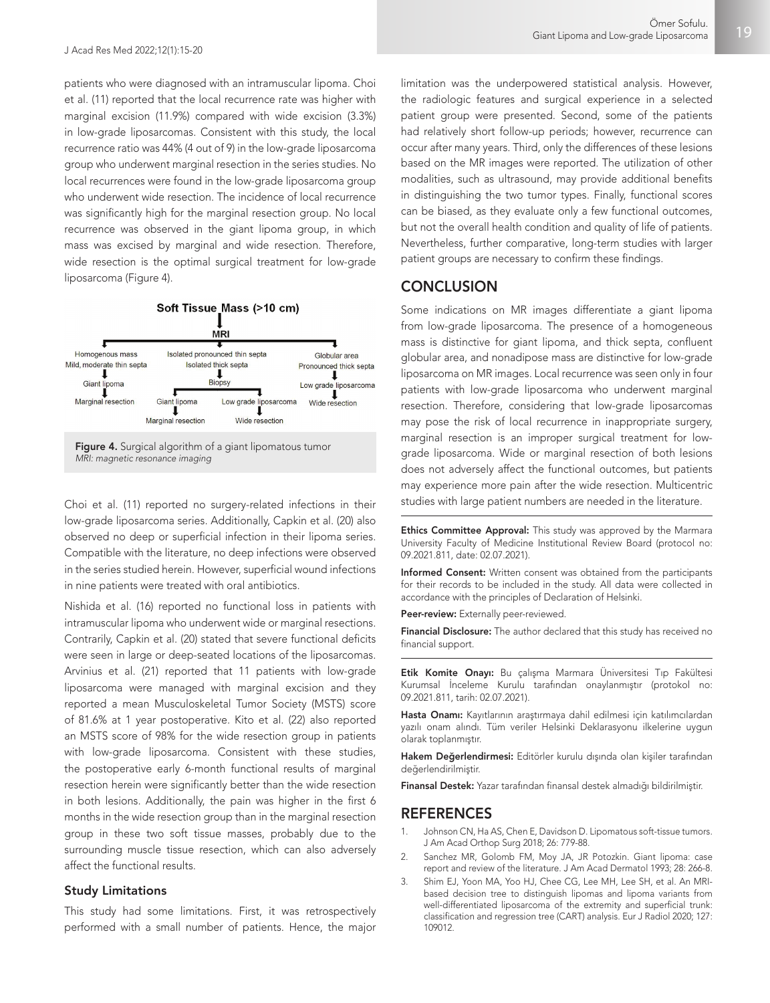patients who were diagnosed with an intramuscular lipoma. Choi et al. (11) reported that the local recurrence rate was higher with marginal excision (11.9%) compared with wide excision (3.3%) in low-grade liposarcomas. Consistent with this study, the local recurrence ratio was 44% (4 out of 9) in the low-grade liposarcoma group who underwent marginal resection in the series studies. No local recurrences were found in the low-grade liposarcoma group who underwent wide resection. The incidence of local recurrence was significantly high for the marginal resection group. No local recurrence was observed in the giant lipoma group, in which mass was excised by marginal and wide resection. Therefore, wide resection is the optimal surgical treatment for low-grade liposarcoma (Figure 4).





Choi et al. (11) reported no surgery-related infections in their low-grade liposarcoma series. Additionally, Capkin et al. (20) also observed no deep or superficial infection in their lipoma series. Compatible with the literature, no deep infections were observed in the series studied herein. However, superficial wound infections in nine patients were treated with oral antibiotics.

Nishida et al. (16) reported no functional loss in patients with intramuscular lipoma who underwent wide or marginal resections. Contrarily, Capkin et al. (20) stated that severe functional deficits were seen in large or deep-seated locations of the liposarcomas. Arvinius et al. (21) reported that 11 patients with low-grade liposarcoma were managed with marginal excision and they reported a mean Musculoskeletal Tumor Society (MSTS) score of 81.6% at 1 year postoperative. Kito et al. (22) also reported an MSTS score of 98% for the wide resection group in patients with low-grade liposarcoma. Consistent with these studies, the postoperative early 6-month functional results of marginal resection herein were significantly better than the wide resection in both lesions. Additionally, the pain was higher in the first 6 months in the wide resection group than in the marginal resection group in these two soft tissue masses, probably due to the surrounding muscle tissue resection, which can also adversely affect the functional results.

#### Study Limitations

This study had some limitations. First, it was retrospectively performed with a small number of patients. Hence, the major limitation was the underpowered statistical analysis. However, the radiologic features and surgical experience in a selected patient group were presented. Second, some of the patients had relatively short follow-up periods; however, recurrence can occur after many years. Third, only the differences of these lesions based on the MR images were reported. The utilization of other modalities, such as ultrasound, may provide additional benefits in distinguishing the two tumor types. Finally, functional scores can be biased, as they evaluate only a few functional outcomes, but not the overall health condition and quality of life of patients. Nevertheless, further comparative, long-term studies with larger patient groups are necessary to confirm these findings.

## **CONCLUSION**

Some indications on MR images differentiate a giant lipoma from low-grade liposarcoma. The presence of a homogeneous mass is distinctive for giant lipoma, and thick septa, confluent globular area, and nonadipose mass are distinctive for low-grade liposarcoma on MR images. Local recurrence was seen only in four patients with low-grade liposarcoma who underwent marginal resection. Therefore, considering that low-grade liposarcomas may pose the risk of local recurrence in inappropriate surgery, marginal resection is an improper surgical treatment for lowgrade liposarcoma. Wide or marginal resection of both lesions does not adversely affect the functional outcomes, but patients may experience more pain after the wide resection. Multicentric studies with large patient numbers are needed in the literature.

Ethics Committee Approval: This study was approved by the Marmara University Faculty of Medicine Institutional Review Board (protocol no: 09.2021.811, date: 02.07.2021).

Informed Consent: Written consent was obtained from the participants for their records to be included in the study. All data were collected in accordance with the principles of Declaration of Helsinki.

Peer-review: Externally peer-reviewed.

Financial Disclosure: The author declared that this study has received no financial support.

Etik Komite Onayı: Bu çalışma Marmara Üniversitesi Tıp Fakültesi Kurumsal İnceleme Kurulu tarafından onaylanmıştır (protokol no: 09.2021.811, tarih: 02.07.2021).

Hasta Onamı: Kayıtlarının araştırmaya dahil edilmesi için katılımcılardan yazılı onam alındı. Tüm veriler Helsinki Deklarasyonu ilkelerine uygun olarak toplanmıştır.

Hakem Değerlendirmesi: Editörler kurulu dışında olan kişiler tarafından değerlendirilmiştir.

Finansal Destek: Yazar tarafından finansal destek almadığı bildirilmiştir.

### **REFERENCES**

- 1. Johnson CN, Ha AS, Chen E, Davidson D. Lipomatous soft-tissue tumors. J Am Acad Orthop Surg 2018; 26: 779-88.
- 2. Sanchez MR, Golomb FM, Moy JA, JR Potozkin. Giant lipoma: case report and review of the literature. J Am Acad Dermatol 1993; 28: 266-8.
- 3. Shim EJ, Yoon MA, Yoo HJ, Chee CG, Lee MH, Lee SH, et al. An MRIbased decision tree to distinguish lipomas and lipoma variants from well-differentiated liposarcoma of the extremity and superficial trunk: classification and regression tree (CART) analysis. Eur J Radiol 2020; 127: 109012.